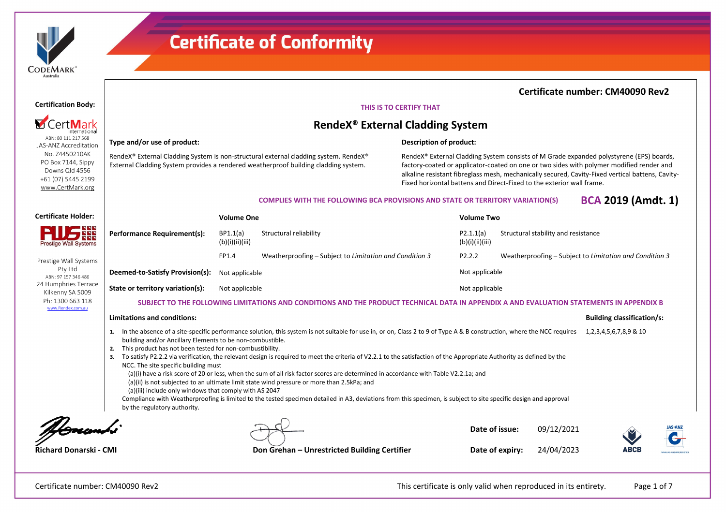

**Certification Body:**

ABN: 80 111 217 568 JAS-ANZ Accreditation No. Z4450210AK PO Box 7144, Sippy Downs Qld 4556 +61 (07) 5445 2199 [www.CertMark.org](http://www.certmark.org/)

ertMark

# **Certificate of Conformity**

# **Certificate number: CM40090 Rev2**

# **THIS IS TO CERTIFY THAT**

# **RendeX® External Cladding System**

### **Type and/or use of product:**

### **Description of product:**

RendeX® External Cladding System is non-structural external cladding system. RendeX® External Cladding System provides a rendered weatherproof building cladding system.

RendeX® External Cladding System consists of M Grade expanded polystyrene (EPS) boards, factory-coated or applicator-coated on one or two sides with polymer modified render and alkaline resistant fibreglass mesh, mechanically secured, Cavity-Fixed vertical battens, Cavity-Fixed horizontal battens and Direct-Fixed to the exterior wall frame.

# **COMPLIES WITH THE FOLLOWING BCA PROVISIONS AND STATE OR TERRITORY VARIATION(S) BCA 2019 (Amdt. 1)**

| <b>Certificate Holder:</b>                                               |                                                                                                                                                                                                                                                                | <b>Volume One</b>           |                                                                                                                                                                                                                                                                                                                                                                                                                                                                                                                                                                                                                                                                                                                                                          | <b>Volume Two</b>            |                                     |                                                         |                           |
|--------------------------------------------------------------------------|----------------------------------------------------------------------------------------------------------------------------------------------------------------------------------------------------------------------------------------------------------------|-----------------------------|----------------------------------------------------------------------------------------------------------------------------------------------------------------------------------------------------------------------------------------------------------------------------------------------------------------------------------------------------------------------------------------------------------------------------------------------------------------------------------------------------------------------------------------------------------------------------------------------------------------------------------------------------------------------------------------------------------------------------------------------------------|------------------------------|-------------------------------------|---------------------------------------------------------|---------------------------|
| $\boldsymbol{S}^{\text{NS}}_{\text{NS}}$<br><b>Prestige Wall Systems</b> | <b>Performance Requirement(s):</b>                                                                                                                                                                                                                             | BP1.1(a)<br>(b)(i)(ii)(iii) | Structural reliability                                                                                                                                                                                                                                                                                                                                                                                                                                                                                                                                                                                                                                                                                                                                   | P2.1.1(a)<br>(b)(i)(ii)(iii) | Structural stability and resistance |                                                         |                           |
| Prestige Wall Systems                                                    |                                                                                                                                                                                                                                                                | FP1.4                       | Weatherproofing – Subject to Limitation and Condition 3                                                                                                                                                                                                                                                                                                                                                                                                                                                                                                                                                                                                                                                                                                  | P2.2.2                       |                                     | Weatherproofing – Subject to Limitation and Condition 3 |                           |
| Pty Ltd<br>ABN: 97 157 346 486                                           | Deemed-to-Satisfy Provision(s):                                                                                                                                                                                                                                | Not applicable              |                                                                                                                                                                                                                                                                                                                                                                                                                                                                                                                                                                                                                                                                                                                                                          | Not applicable               |                                     |                                                         |                           |
| 24 Humphries Terrace<br>Kilkenny SA 5009                                 | State or territory variation(s):                                                                                                                                                                                                                               | Not applicable              |                                                                                                                                                                                                                                                                                                                                                                                                                                                                                                                                                                                                                                                                                                                                                          | Not applicable               |                                     |                                                         |                           |
| Ph: 1300 663 118<br>www.Rendex.com.au                                    |                                                                                                                                                                                                                                                                |                             | SUBJECT TO THE FOLLOWING LIMITATIONS AND CONDITIONS AND THE PRODUCT TECHNICAL DATA IN APPENDIX A AND EVALUATION STATEMENTS IN APPENDIX B                                                                                                                                                                                                                                                                                                                                                                                                                                                                                                                                                                                                                 |                              |                                     |                                                         |                           |
|                                                                          | <b>Limitations and conditions:</b>                                                                                                                                                                                                                             |                             |                                                                                                                                                                                                                                                                                                                                                                                                                                                                                                                                                                                                                                                                                                                                                          |                              |                                     | <b>Building classification/s:</b>                       |                           |
|                                                                          | building and/or Ancillary Elements to be non-combustible.<br>This product has not been tested for non-combustibility.<br>-2.<br>NCC. The site specific building must<br>(a)(iii) include only windows that comply with AS 2047<br>by the regulatory authority. |                             | In the absence of a site-specific performance solution, this system is not suitable for use in, or on, Class 2 to 9 of Type A & B construction, where the NCC requires<br>To satisfy P2.2.2 via verification, the relevant design is required to meet the criteria of V2.2.1 to the satisfaction of the Appropriate Authority as defined by the<br>(a)(i) have a risk score of 20 or less, when the sum of all risk factor scores are determined in accordance with Table V2.2.1a; and<br>(a)(ii) is not subjected to an ultimate limit state wind pressure or more than 2.5kPa; and<br>Compliance with Weatherproofing is limited to the tested specimen detailed in A3, deviations from this specimen, is subject to site specific design and approval |                              |                                     | 1, 2, 3, 4, 5, 6, 7, 8, 9 & 10                          |                           |
|                                                                          |                                                                                                                                                                                                                                                                |                             |                                                                                                                                                                                                                                                                                                                                                                                                                                                                                                                                                                                                                                                                                                                                                          | Date of issue:               | 09/12/2021                          |                                                         | <b>JAS-A</b><br>$\bullet$ |
|                                                                          |                                                                                                                                                                                                                                                                |                             |                                                                                                                                                                                                                                                                                                                                                                                                                                                                                                                                                                                                                                                                                                                                                          |                              | 2.10.1002                           |                                                         |                           |

**Richard Donarski - CMI Don Grehan – Unrestricted Building Certifier**

**Date of expiry:** 24/04/2023

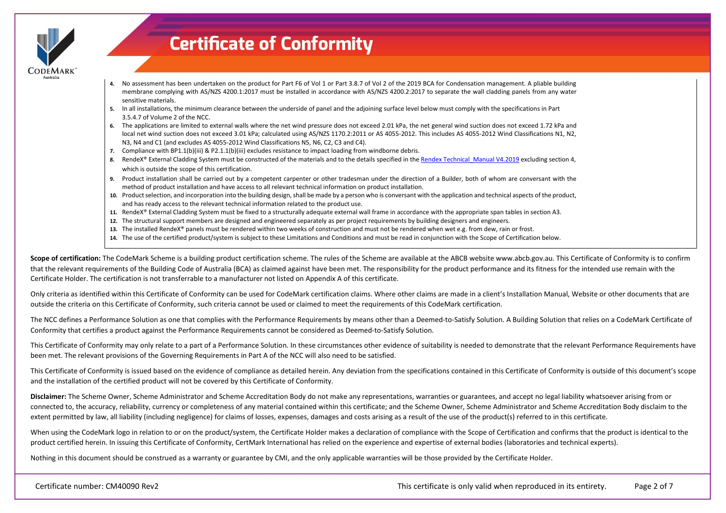

- 
- **4.** No assessment has been undertaken on the product for Part F6 of Vol 1 or Part 3.8.7 of Vol 2 of the 2019 BCA for Condensation management. A pliable building membrane complying with AS/NZS 4200.1:2017 must be installed in accordance with AS/NZS 4200.2:2017 to separate the wall cladding panels from any water sensitive materials.
- **5.** In all installations, the minimum clearance between the underside of panel and the adjoining surface level below must comply with the specifications in Part 3.5.4.7 of Volume 2 of the NCC.
- **6.** The applications are limited to external walls where the net wind pressure does not exceed 2.01 kPa, the net general wind suction does not exceed 1.72 kPa and local net wind suction does not exceed 3.01 kPa; calculated using AS/NZS 1170.2:2011 or AS 4055-2012. This includes AS 4055-2012 Wind Classifications N1, N2, N3, N4 and C1 (and excludes AS 4055-2012 Wind Classifications N5, N6, C2, C3 and C4).
- **7.** Compliance with BP1.1(b)(iii) & P2.1.1(b)(iii) excludes resistance to impact loading from windborne debris.
- 8. RendeX® External Cladding System must be constructed of the materials and to the details specified in the Rendex Technical Manual V4.2019 excluding section 4, which is outside the scope of this certification.
- **9.** Product installation shall be carried out by a competent carpenter or other tradesman under the direction of a Builder, both of whom are conversant with the method of product installation and have access to all relevant technical information on product installation.
- **10.** Product selection, and incorporation into the building design, shall be made by a person who is conversant with the application and technical aspects of the product, and has ready access to the relevant technical information related to the product use.
- **11.** RendeX® External Cladding System must be fixed to a structurally adequate external wall frame in accordance with the appropriate span tables in section A3.
- **12.** The structural support members are designed and engineered separately as per project requirements by building designers and engineers.
- **13.** The installed RendeX® panels must be rendered within two weeks of construction and must not be rendered when wet e.g. from dew, rain or frost.
- **14.** The use of the certified product/system is subject to these Limitations and Conditions and must be read in conjunction with the Scope of Certification below.

Scope of certification: The CodeMark Scheme is a building product certification scheme. The rules of the Scheme are available at the ABCB website www.abcb.gov.au. This Certificate of Conformity is to confirm that the relevant requirements of the Building Code of Australia (BCA) as claimed against have been met. The responsibility for the product performance and its fitness for the intended use remain with the Certificate Holder. The certification is not transferrable to a manufacturer not listed on Appendix A of this certificate.

Only criteria as identified within this Certificate of Conformity can be used for CodeMark certification claims. Where other claims are made in a client's Installation Manual, Website or other documents that are outside the criteria on this Certificate of Conformity, such criteria cannot be used or claimed to meet the requirements of this CodeMark certification.

The NCC defines a Performance Solution as one that complies with the Performance Requirements by means other than a Deemed-to-Satisfy Solution. A Building Solution that relies on a CodeMark Certificate of Conformity that certifies a product against the Performance Requirements cannot be considered as Deemed-to-Satisfy Solution.

This Certificate of Conformity may only relate to a part of a Performance Solution. In these circumstances other evidence of suitability is needed to demonstrate that the relevant Performance Requirements have been met. The relevant provisions of the Governing Requirements in Part A of the NCC will also need to be satisfied.

This Certificate of Conformity is issued based on the evidence of compliance as detailed herein. Any deviation from the specifications contained in this Certificate of Conformity is outside of this document's scope and the installation of the certified product will not be covered by this Certificate of Conformity.

**Disclaimer:** The Scheme Owner, Scheme Administrator and Scheme Accreditation Body do not make any representations, warranties or guarantees, and accept no legal liability whatsoever arising from or connected to, the accuracy, reliability, currency or completeness of any material contained within this certificate; and the Scheme Owner, Scheme Administrator and Scheme Accreditation Body disclaim to the extent permitted by law, all liability (including negligence) for claims of losses, expenses, damages and costs arising as a result of the use of the product(s) referred to in this certificate.

When using the CodeMark logo in relation to or on the product/system, the Certificate Holder makes a declaration of compliance with the Scope of Certification and confirms that the product is identical to the product certified herein. In issuing this Certificate of Conformity, CertMark International has relied on the experience and expertise of external bodies (laboratories and technical experts).

Nothing in this document should be construed as a warranty or guarantee by CMI, and the only applicable warranties will be those provided by the Certificate Holder.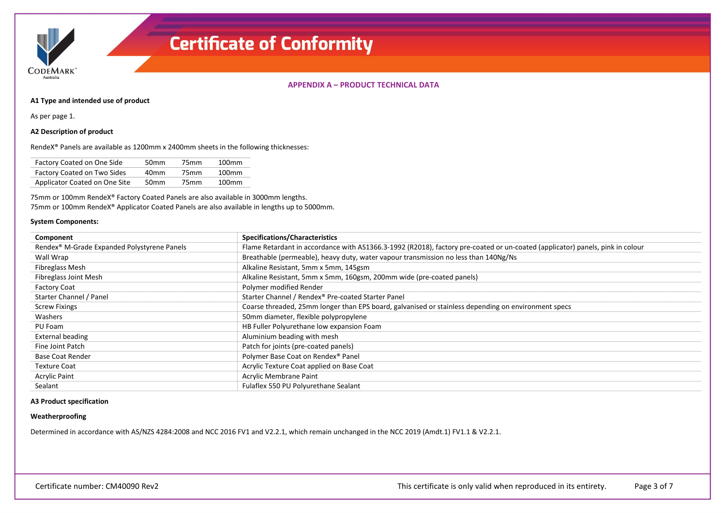

# **APPENDIX A – PRODUCT TECHNICAL DATA**

## **A1 Type and intended use of product**

As per page 1.

### **A2 Description of product**

RendeX® Panels are available as 1200mm x 2400mm sheets in the following thicknesses:

| Factory Coated on One Side    | 50 <sub>mm</sub> | 75mm             | 100mm    |
|-------------------------------|------------------|------------------|----------|
| Factory Coated on Two Sides   | 40 <sub>mm</sub> | 75 <sub>mm</sub> | $100$ mm |
| Applicator Coated on One Site | 50 <sub>mm</sub> | 75mm             | $100$ mm |

75mm or 100mm RendeX® Factory Coated Panels are also available in 3000mm lengths. 75mm or 100mm RendeX® Applicator Coated Panels are also available in lengths up to 5000mm.

### **System Components:**

| Component                                               | <b>Specifications/Characteristics</b>                                                                                         |
|---------------------------------------------------------|-------------------------------------------------------------------------------------------------------------------------------|
| Rendex <sup>®</sup> M-Grade Expanded Polystyrene Panels | Flame Retardant in accordance with AS1366.3-1992 (R2018), factory pre-coated or un-coated (applicator) panels, pink in colour |
| Wall Wrap                                               | Breathable (permeable), heavy duty, water vapour transmission no less than 140Ng/Ns                                           |
| Fibreglass Mesh                                         | Alkaline Resistant, 5mm x 5mm, 145gsm                                                                                         |
| Fibreglass Joint Mesh                                   | Alkaline Resistant, 5mm x 5mm, 160gsm, 200mm wide (pre-coated panels)                                                         |
| <b>Factory Coat</b>                                     | Polymer modified Render                                                                                                       |
| Starter Channel / Panel                                 | Starter Channel / Rendex <sup>®</sup> Pre-coated Starter Panel                                                                |
| <b>Screw Fixings</b>                                    | Coarse threaded, 25mm longer than EPS board, galvanised or stainless depending on environment specs                           |
| Washers                                                 | 50mm diameter, flexible polypropylene                                                                                         |
| PU Foam                                                 | HB Fuller Polyurethane low expansion Foam                                                                                     |
| <b>External beading</b>                                 | Aluminium beading with mesh                                                                                                   |
| Fine Joint Patch                                        | Patch for joints (pre-coated panels)                                                                                          |
| <b>Base Coat Render</b>                                 | Polymer Base Coat on Rendex <sup>®</sup> Panel                                                                                |
| <b>Texture Coat</b>                                     | Acrylic Texture Coat applied on Base Coat                                                                                     |
| <b>Acrylic Paint</b>                                    | Acrylic Membrane Paint                                                                                                        |
| Sealant                                                 | Fulaflex 550 PU Polyurethane Sealant                                                                                          |

# **A3 Product specification**

### **Weatherproofing**

Determined in accordance with AS/NZS 4284:2008 and NCC 2016 FV1 and V2.2.1, which remain unchanged in the NCC 2019 (Amdt.1) FV1.1 & V2.2.1.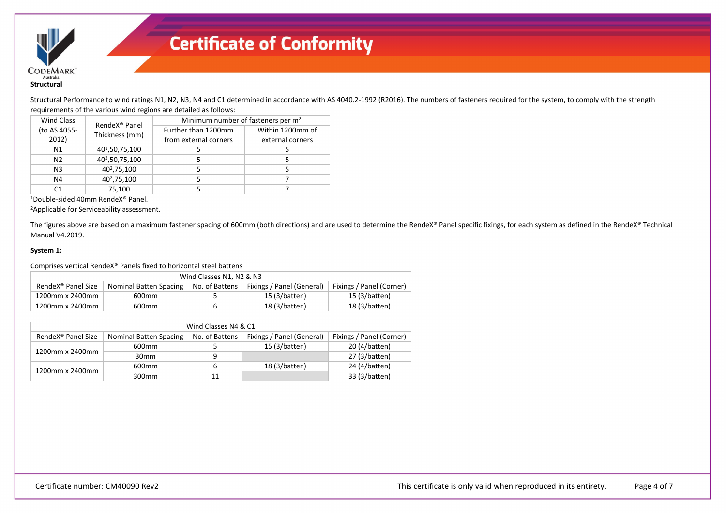

# Structural Performance to wind ratings N1, N2, N3, N4 and C1 determined in accordance with AS 4040.2-1992 (R2016). The numbers of fasteners required for the system, to comply with the strength requirements of the various wind regions are detailed as follows:

| <b>Wind Class</b>     | RendeX <sup>®</sup> Panel | Minimum number of fasteners per $m2$         |                                      |
|-----------------------|---------------------------|----------------------------------------------|--------------------------------------|
| (to AS 4055-<br>2012) | Thickness (mm)            | Further than 1200mm<br>from external corners | Within 1200mm of<br>external corners |
| N <sub>1</sub>        | 401,50,75,100             |                                              |                                      |
| N <sub>2</sub>        | 402,50,75,100             |                                              |                                      |
| N <sub>3</sub>        | 40 <sup>2</sup> ,75,100   |                                              |                                      |
| N4                    | 40 <sup>2</sup> ,75,100   |                                              |                                      |
| C1                    | 75,100                    |                                              |                                      |

1Double-sided 40mm RendeX® Panel.

2Applicable for Serviceability assessment.

The figures above are based on a maximum fastener spacing of 600mm (both directions) and are used to determine the RendeX® Panel specific fixings, for each system as defined in the RendeX® Technical Manual V4.2019.

### **System 1:**

Comprises vertical RendeX® Panels fixed to horizontal steel battens

| Wind Classes N1, N2 & N3       |                        |                |                           |                          |  |  |
|--------------------------------|------------------------|----------------|---------------------------|--------------------------|--|--|
| RendeX <sup>®</sup> Panel Size | Nominal Batten Spacing | No. of Battens | Fixings / Panel (General) | Fixings / Panel (Corner) |  |  |
| 1200mm x 2400mm                | 600 <sub>mm</sub>      |                | 15 (3/batten)             | 15(3/batten)             |  |  |
| 1200mm x 2400mm                | 600 <sub>mm</sub>      | b              | 18 (3/batten)             | 18 (3/batten)            |  |  |

| Wind Classes N4 & C1           |                               |                |                           |                          |  |  |
|--------------------------------|-------------------------------|----------------|---------------------------|--------------------------|--|--|
| RendeX <sup>®</sup> Panel Size | <b>Nominal Batten Spacing</b> | No. of Battens | Fixings / Panel (General) | Fixings / Panel (Corner) |  |  |
| 1200mm x 2400mm                | 600mm                         |                | 15 (3/batten)             | 20 (4/batten)            |  |  |
|                                | 30 <sub>mm</sub>              | 9              |                           | 27 (3/batten)            |  |  |
| 1200mm x 2400mm                | 600mm                         | b              | 18 (3/batten)             | 24 (4/batten)            |  |  |
|                                | 300 <sub>mm</sub>             | 11             |                           | 33 (3/batten)            |  |  |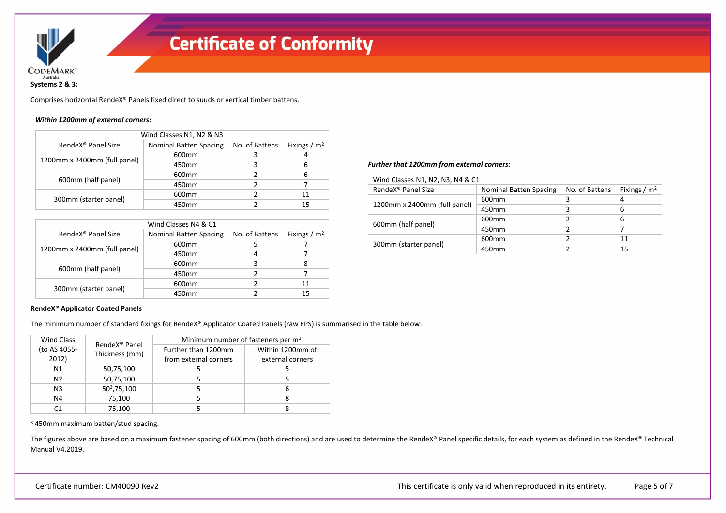

# **Systems 2 & 3:**

Comprises horizontal RendeX® Panels fixed direct to suuds or vertical timber battens.

# *Within 1200mm of external corners:*

| Wind Classes N1, N2 & N3                                                          |                   |   |               |  |  |  |
|-----------------------------------------------------------------------------------|-------------------|---|---------------|--|--|--|
| <b>Nominal Batten Spacing</b><br>RendeX <sup>®</sup> Panel Size<br>No. of Battens |                   |   | Fixings $/m2$ |  |  |  |
| 1200mm x 2400mm (full panel)                                                      | 600 <sub>mm</sub> |   |               |  |  |  |
|                                                                                   | 450mm             | 3 | 6             |  |  |  |
|                                                                                   | 600 <sub>mm</sub> |   | 6             |  |  |  |
| 600mm (half panel)                                                                | 450mm             | 7 |               |  |  |  |
|                                                                                   | 600 <sub>mm</sub> |   | 11            |  |  |  |
| 300mm (starter panel)                                                             | 450mm             |   | 15            |  |  |  |

| Wind Classes N4 & C1           |                        |                |               |  |  |
|--------------------------------|------------------------|----------------|---------------|--|--|
| RendeX <sup>®</sup> Panel Size | Nominal Batten Spacing | No. of Battens | Fixings $/m2$ |  |  |
|                                | 600 <sub>mm</sub>      |                |               |  |  |
| 1200mm x 2400mm (full panel)   | 450mm                  | 4              |               |  |  |
|                                | 600 <sub>mm</sub>      |                | 8             |  |  |
| 600mm (half panel)             | 450mm                  |                |               |  |  |
|                                | 600 <sub>mm</sub>      |                | 11            |  |  |
| 300mm (starter panel)          | 450mm                  |                |               |  |  |

#### *Further that 1200mm from external corners:*

| Wind Classes N1, N2, N3, N4 & C1 |                        |                |                |  |  |
|----------------------------------|------------------------|----------------|----------------|--|--|
| RendeX <sup>®</sup> Panel Size   | Nominal Batten Spacing | No. of Battens | Fixings / $m2$ |  |  |
| 1200mm x 2400mm (full panel)     | 600 <sub>mm</sub>      | 3              | 4              |  |  |
|                                  | 450mm                  | 3              | 6              |  |  |
|                                  | 600 <sub>mm</sub>      | 2              | 6              |  |  |
| 600mm (half panel)               | 450mm                  | 2              | 7              |  |  |
| 300mm (starter panel)            | 600 <sub>mm</sub>      | 2              | 11             |  |  |
|                                  | 450mm                  | 2              | 15             |  |  |

### **RendeX® Applicator Coated Panels**

The minimum number of standard fixings for RendeX® Applicator Coated Panels (raw EPS) is summarised in the table below:

| <b>Wind Class</b> |                           | Minimum number of fasteners per m <sup>2</sup> |                  |
|-------------------|---------------------------|------------------------------------------------|------------------|
| (to AS 4055-      | RendeX <sup>®</sup> Panel | Further than 1200mm                            | Within 1200mm of |
| 2012)             | Thickness (mm)            | from external corners                          | external corners |
| N1                | 50,75,100                 |                                                |                  |
| N <sub>2</sub>    | 50,75,100                 |                                                |                  |
| N <sub>3</sub>    | 503,75,100                |                                                | 6                |
| N4                | 75,100                    |                                                | 8                |
| C <sub>1</sub>    | 75,100                    |                                                |                  |

<sup>3</sup> 450mm maximum batten/stud spacing.

The figures above are based on a maximum fastener spacing of 600mm (both directions) and are used to determine the RendeX® Panel specific details, for each system as defined in the RendeX® Technical Manual V4.2019.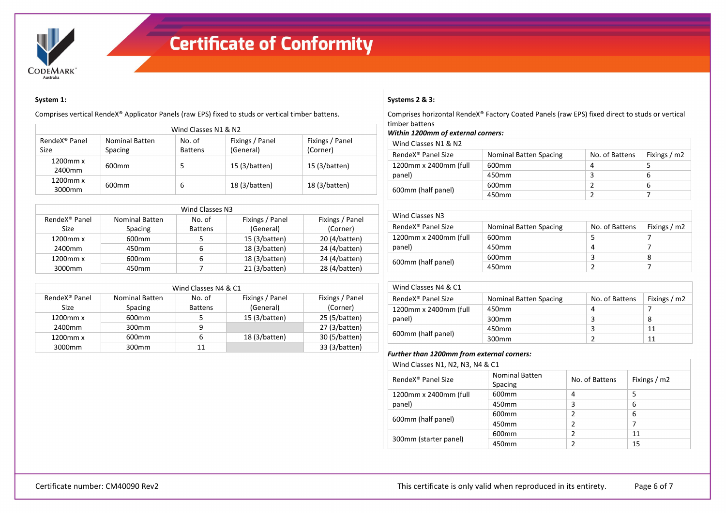

# **System 1:**

Comprises vertical RendeX® Applicator Panels (raw EPS) fixed to studs or vertical timber battens.

| Wind Classes N1 & N2              |                                  |                          |                              |                             |  |  |
|-----------------------------------|----------------------------------|--------------------------|------------------------------|-----------------------------|--|--|
| RendeX <sup>®</sup> Panel<br>Size | <b>Nominal Batten</b><br>Spacing | No. of<br><b>Battens</b> | Fixings / Panel<br>(General) | Fixings / Panel<br>(Corner) |  |  |
| 1200mm x<br>2400 <sub>mm</sub>    | 600 <sub>mm</sub>                | 5                        | 15 (3/batten)                | 15(3/batten)                |  |  |
| 1200mm x<br>3000mm                | 600 <sub>mm</sub>                | 6                        | 18(3/batten)                 | 18(3/batten)                |  |  |

| Wind Classes N3           |                       |                |                 |                 |  |  |
|---------------------------|-----------------------|----------------|-----------------|-----------------|--|--|
| RendeX <sup>®</sup> Panel | <b>Nominal Batten</b> | No. of         | Fixings / Panel | Fixings / Panel |  |  |
| Size                      | Spacing               | <b>Battens</b> | (General)       | (Corner)        |  |  |
| 1200mm x                  | 600 <sub>mm</sub>     |                | 15(3/batten)    | 20 (4/batten)   |  |  |
| 2400mm                    | 450mm                 | 6              | 18(3/batten)    | 24 (4/batten)   |  |  |
| $1200$ mm $x$             | 600 <sub>mm</sub>     | 6              | 18(3/batten)    | 24 (4/batten)   |  |  |
| 3000mm                    | 450mm                 |                | 21 (3/batten)   | 28 (4/batten)   |  |  |

| Wind Classes N4 & C1      |                       |                |                 |                 |
|---------------------------|-----------------------|----------------|-----------------|-----------------|
| RendeX <sup>®</sup> Panel | <b>Nominal Batten</b> | No. of         | Fixings / Panel | Fixings / Panel |
| <b>Size</b>               | Spacing               | <b>Battens</b> | (General)       | (Corner)        |
| $1200$ mm $x$             | 600 <sub>mm</sub>     |                | 15(3/batten)    | 25 (5/batten)   |
| 2400mm                    | 300 <sub>mm</sub>     | 9              |                 | 27 (3/batten)   |
| $1200$ mm $x$             | 600 <sub>mm</sub>     | 6              | 18(3/batten)    | 30 (5/batten)   |
| 3000mm                    | 300 <sub>mm</sub>     | 11             |                 | 33 (3/batten)   |

# **Systems 2 & 3:**

Comprises horizontal RendeX® Factory Coated Panels (raw EPS) fixed direct to studs or vertical timber battens

# *Within 1200mm of external corners:*

| Wind Classes N1 & N2           |                        |                |               |
|--------------------------------|------------------------|----------------|---------------|
| RendeX <sup>®</sup> Panel Size | Nominal Batten Spacing | No. of Battens | Fixings $/m2$ |
| 1200mm x 2400mm (full          | 600mm                  | 4              |               |
| panel)                         | 450mm                  | ົ              | 6             |
| 600mm (half panel)             | 600mm                  |                | 6             |
|                                | 450mm                  |                |               |

| Wind Classes N3                |                               |                |              |
|--------------------------------|-------------------------------|----------------|--------------|
| RendeX <sup>®</sup> Panel Size | <b>Nominal Batten Spacing</b> | No. of Battens | Fixings / m2 |
| 1200mm x 2400mm (full          | 600 <sub>mm</sub>             |                |              |
| panel)                         | 450mm                         | 4              |              |
| 600mm (half panel)             | 600mm                         | 3              | 8            |
|                                | 450mm                         |                |              |

| Wind Classes N4 & C1           |                        |                |              |
|--------------------------------|------------------------|----------------|--------------|
| RendeX <sup>®</sup> Panel Size | Nominal Batten Spacing | No. of Battens | Fixings / m2 |
| 1200mm x 2400mm (full          | 450mm                  | 4              |              |
| panel)                         | 300mm                  | 3              | 8            |
| 600mm (half panel)             | 450mm                  | 3              | 11           |
|                                | 300 <sub>mm</sub>      |                | 11           |

# *Further than 1200mm from external corners:*

| Wind Classes N1, N2, N3, N4 & C1 |                                  |                |              |
|----------------------------------|----------------------------------|----------------|--------------|
| RendeX <sup>®</sup> Panel Size   | <b>Nominal Batten</b><br>Spacing | No. of Battens | Fixings / m2 |
| 1200mm x 2400mm (full            | 600 <sub>mm</sub>                | 4              | 5            |
| panel)                           | 450mm                            | 3              | 6            |
| 600mm (half panel)               | 600mm                            | 2              | 6            |
|                                  | 450mm                            | າ              |              |
| 300mm (starter panel)            | 600 <sub>mm</sub>                |                | 11           |
|                                  | 450mm                            | า              | 15           |